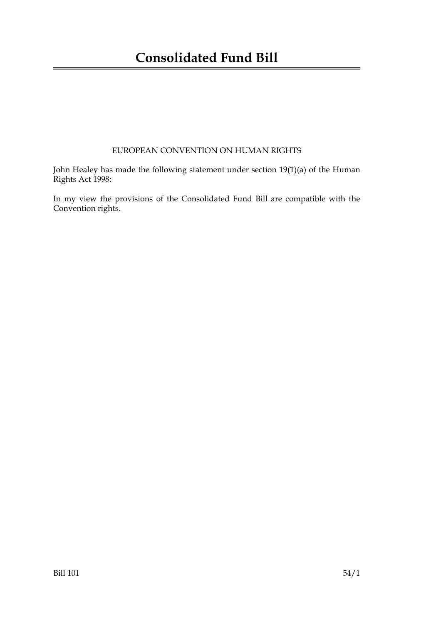### EUROPEAN CONVENTION ON HUMAN RIGHTS

John Healey has made the following statement under section 19(1)(a) of the Human Rights Act 1998:

In my view the provisions of the Consolidated Fund Bill are compatible with the Convention rights.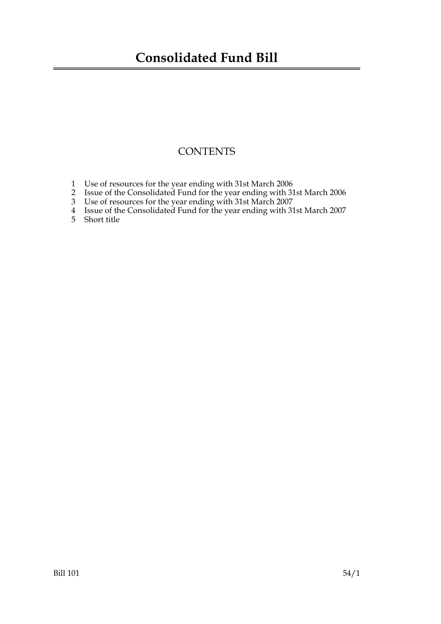# **Consolidated Fund Bill**

## **CONTENTS**

- 1 Use of resources for the year ending with 31st March 2006
- 2 Issue of the Consolidated Fund for the year ending with 31st March 2006
- 3 Use of resources for the year ending with 31st March 2007
- 4 Issue of the Consolidated Fund for the year ending with 31st March 2007
- 5 Short title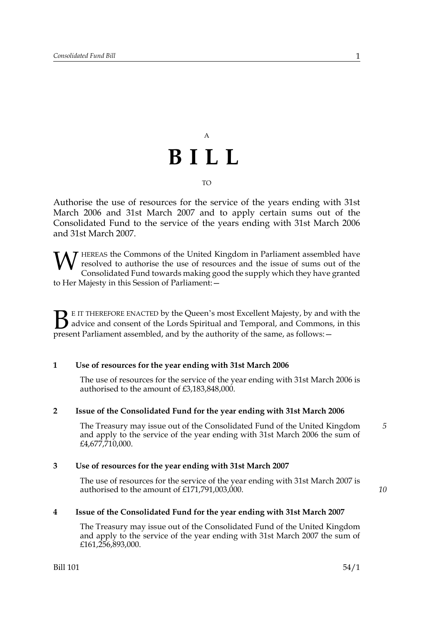# A **BILL**

#### TO

Authorise the use of resources for the service of the years ending with 31st March 2006 and 31st March 2007 and to apply certain sums out of the Consolidated Fund to the service of the years ending with 31st March 2006 and 31st March 2007.

**7** HEREAS the Commons of the United Kingdom in Parliament assembled have resolved to authorise the use of resources and the issue of sums out of the Consolidated Fund towards making good the supply which they have granted to Her Majesty in this Session of Parliament:— W

E IT THEREFORE ENACTED by the Queen's most Excellent Majesty, by and with the advice and consent of the Lords Spiritual and Temporal, and Commons, in this **P**E IT THEREFORE ENACTED by the Queen's most Excellent Majesty, by and w<br>advice and consent of the Lords Spiritual and Temporal, and Commons,<br>present Parliament assembled, and by the authority of the same, as follows: –

#### **1 Use of resources for the year ending with 31st March 2006**

The use of resources for the service of the year ending with 31st March 2006 is authorised to the amount of £3,183,848,000.

#### **2 Issue of the Consolidated Fund for the year ending with 31st March 2006**

The Treasury may issue out of the Consolidated Fund of the United Kingdom and apply to the service of the year ending with 31st March 2006 the sum of £4,677,710,000.

#### **3 Use of resources for the year ending with 31st March 2007**

The use of resources for the service of the year ending with 31st March 2007 is authorised to the amount of £171,791,003,000.

#### **4 Issue of the Consolidated Fund for the year ending with 31st March 2007**

The Treasury may issue out of the Consolidated Fund of the United Kingdom and apply to the service of the year ending with 31st March 2007 the sum of £161,256,893,000.

*10*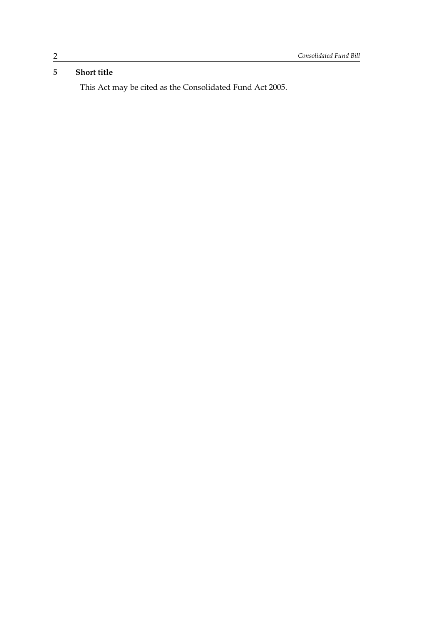## **5 Short title**

This Act may be cited as the Consolidated Fund Act 2005.